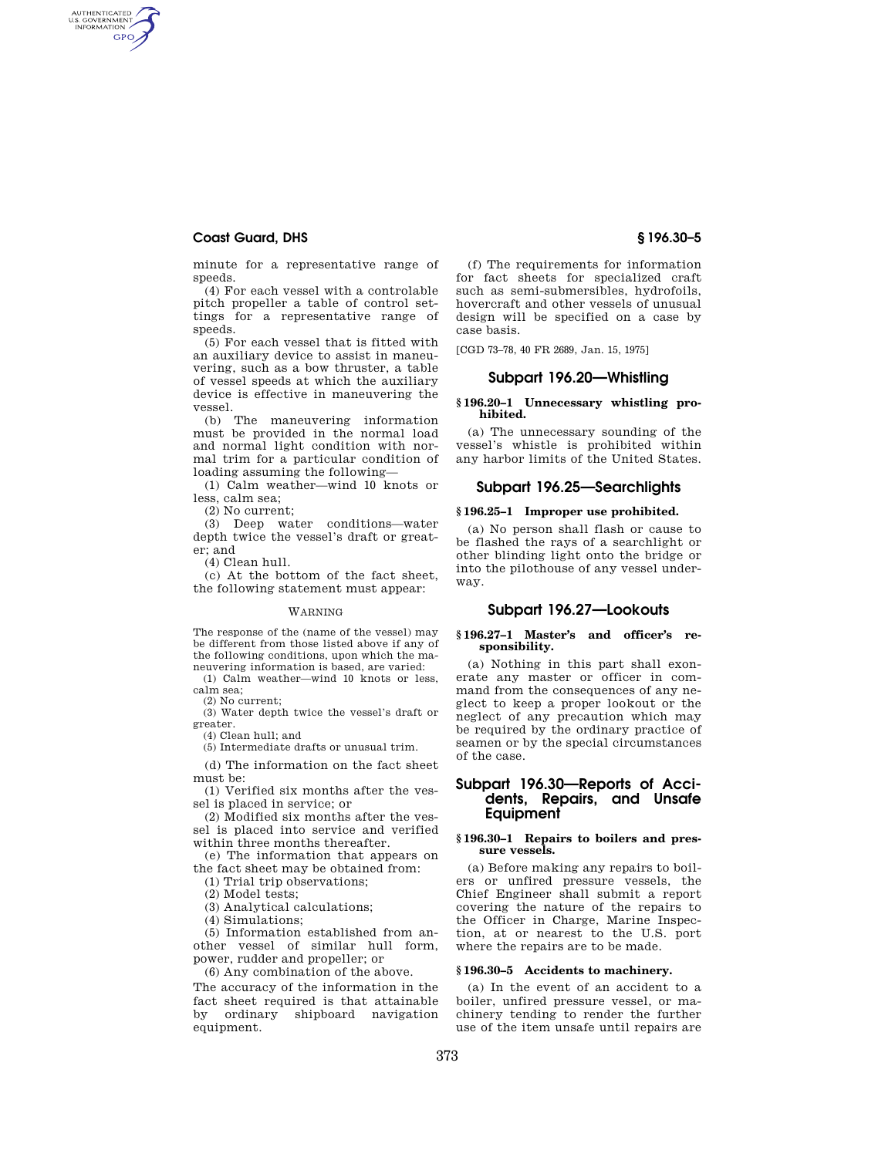# **Coast Guard, DHS § 196.30–5**

AUTHENTICATED<br>U.S. GOVERNMENT<br>INFORMATION **GPO** 

minute for a representative range of speeds.

(4) For each vessel with a controlable pitch propeller a table of control settings for a representative range of speeds.

(5) For each vessel that is fitted with an auxiliary device to assist in maneuvering, such as a bow thruster, a table of vessel speeds at which the auxiliary device is effective in maneuvering the vessel.

(b) The maneuvering information must be provided in the normal load and normal light condition with normal trim for a particular condition of loading assuming the following—

(1) Calm weather—wind 10 knots or less, calm sea;

(2) No current;

(3) Deep water conditions—water depth twice the vessel's draft or greater; and

(4) Clean hull.

(c) At the bottom of the fact sheet, the following statement must appear:

#### WARNING

The response of the (name of the vessel) may be different from those listed above if any of the following conditions, upon which the maneuvering information is based, are varied:

(1) Calm weather—wind 10 knots or less, calm sea;

(2) No current;

(3) Water depth twice the vessel's draft or greater.

(4) Clean hull; and

(5) Intermediate drafts or unusual trim.

(d) The information on the fact sheet must be:

(1) Verified six months after the vessel is placed in service; or

(2) Modified six months after the vessel is placed into service and verified within three months thereafter.

(e) The information that appears on the fact sheet may be obtained from:

(1) Trial trip observations;

(2) Model tests;

(3) Analytical calculations;

(4) Simulations;

(5) Information established from another vessel of similar hull form, power, rudder and propeller; or

(6) Any combination of the above.

The accuracy of the information in the fact sheet required is that attainable by ordinary shipboard navigation equipment.

(f) The requirements for information for fact sheets for specialized craft such as semi-submersibles, hydrofoils, hovercraft and other vessels of unusual design will be specified on a case by case basis.

[CGD 73–78, 40 FR 2689, Jan. 15, 1975]

# **Subpart 196.20—Whistling**

## **§ 196.20–1 Unnecessary whistling prohibited.**

(a) The unnecessary sounding of the vessel's whistle is prohibited within any harbor limits of the United States.

# **Subpart 196.25—Searchlights**

# **§ 196.25–1 Improper use prohibited.**

(a) No person shall flash or cause to be flashed the rays of a searchlight or other blinding light onto the bridge or into the pilothouse of any vessel underway.

# **Subpart 196.27—Lookouts**

#### **§ 196.27–1 Master's and officer's responsibility.**

(a) Nothing in this part shall exonerate any master or officer in command from the consequences of any neglect to keep a proper lookout or the neglect of any precaution which may be required by the ordinary practice of seamen or by the special circumstances of the case.

# **Subpart 196.30—Reports of Accidents, Repairs, and Unsafe Equipment**

## **§ 196.30–1 Repairs to boilers and pressure vessels.**

(a) Before making any repairs to boilers or unfired pressure vessels, the Chief Engineer shall submit a report covering the nature of the repairs to the Officer in Charge, Marine Inspection, at or nearest to the U.S. port where the repairs are to be made.

# **§ 196.30–5 Accidents to machinery.**

(a) In the event of an accident to a boiler, unfired pressure vessel, or machinery tending to render the further use of the item unsafe until repairs are